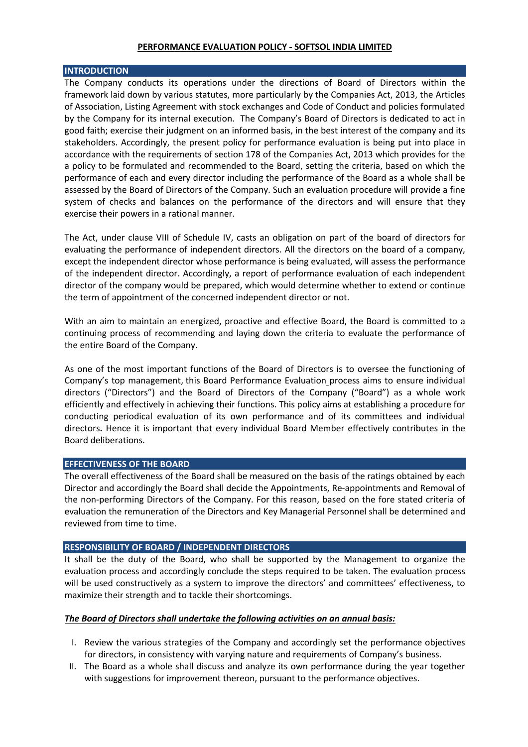#### **PERFORMANCE EVALUATION POLICY - SOFTSOL INDIA LIMITED**

### **INTRODUCTION**

The Company conducts its operations under the directions of Board of Directors within the framework laid down by various statutes, more particularly by the Companies Act, 2013, the Articles of Association, Listing Agreement with stock exchanges and Code of Conduct and policies formulated by the Company for its internal execution. The Company's Board of Directors is dedicated to act in good faith; exercise their judgment on an informed basis, in the best interest of the company and its stakeholders. Accordingly, the present policy for performance evaluation is being put into place in accordance with the requirements of section 178 of the Companies Act, 2013 which provides for the a policy to be formulated and recommended to the Board, setting the criteria, based on which the performance of each and every director including the performance of the Board as a whole shall be assessed by the Board of Directors of the Company. Such an evaluation procedure will provide a fine system of checks and balances on the performance of the directors and will ensure that they exercise their powers in a rational manner.

The Act, under clause VIII of Schedule IV, casts an obligation on part of the board of directors for evaluating the performance of independent directors. All the directors on the board of a company, except the independent director whose performance is being evaluated, will assess the performance of the independent director. Accordingly, a report of performance evaluation of each independent director of the company would be prepared, which would determine whether to extend or continue the term of appointment of the concerned independent director or not.

With an aim to maintain an energized, proactive and effective Board, the Board is committed to a continuing process of recommending and laying down the criteria to evaluate the performance of the entire Board of the Company.

As one of the most important functions of the Board of Directors is to oversee the functioning of Company's top management, this Board Performance Evaluation process aims to ensure individual directors ("Directors") and the Board of Directors of the Company ("Board") as a whole work efficiently and effectively in achieving their functions. This policy aims at establishing a procedure for conducting periodical evaluation of its own performance and of its committees and individual directors**.** Hence it is important that every individual Board Member effectively contributes in the Board deliberations.

## **EFFECTIVENESS OF THE BOARD**

The overall effectiveness of the Board shall be measured on the basis of the ratings obtained by each Director and accordingly the Board shall decide the Appointments, Re-appointments and Removal of the non-performing Directors of the Company. For this reason, based on the fore stated criteria of evaluation the remuneration of the Directors and Key Managerial Personnel shall be determined and reviewed from time to time.

# **RESPONSIBILITY OF BOARD / INDEPENDENT DIRECTORS**

It shall be the duty of the Board, who shall be supported by the Management to organize the evaluation process and accordingly conclude the steps required to be taken. The evaluation process will be used constructively as a system to improve the directors' and committees' effectiveness, to maximize their strength and to tackle their shortcomings.

## *The Board of Directors shall undertake the following activities on an annual basis:*

- I. Review the various strategies of the Company and accordingly set the performance objectives for directors, in consistency with varying nature and requirements of Company's business.
- II. The Board as a whole shall discuss and analyze its own performance during the year together with suggestions for improvement thereon, pursuant to the performance objectives.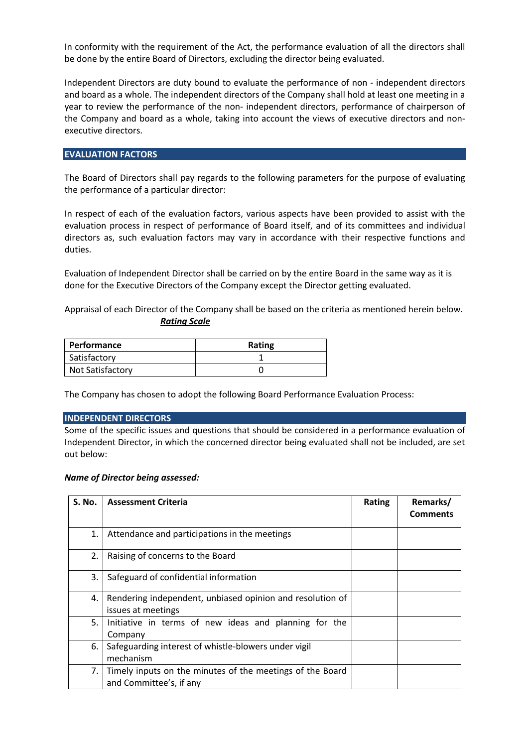In conformity with the requirement of the Act, the performance evaluation of all the directors shall be done by the entire Board of Directors, excluding the director being evaluated.

Independent Directors are duty bound to evaluate the performance of non - independent directors and board as a whole. The independent directors of the Company shall hold at least one meeting in a year to review the performance of the non- independent directors, performance of chairperson of the Company and board as a whole, taking into account the views of executive directors and nonexecutive directors.

#### **EVALUATION FACTORS**

The Board of Directors shall pay regards to the following parameters for the purpose of evaluating the performance of a particular director:

In respect of each of the evaluation factors, various aspects have been provided to assist with the evaluation process in respect of performance of Board itself, and of its committees and individual directors as, such evaluation factors may vary in accordance with their respective functions and duties.

Evaluation of Independent Director shall be carried on by the entire Board in the same way as it is done for the Executive Directors of the Company except the Director getting evaluated.

Appraisal of each Director of the Company shall be based on the criteria as mentioned herein below. *Rating Scale*

| <b>Performance</b> | Rating |
|--------------------|--------|
| Satisfactory       |        |
| Not Satisfactory   |        |

The Company has chosen to adopt the following Board Performance Evaluation Process:

#### **INDEPENDENT DIRECTORS**

Some of the specific issues and questions that should be considered in a performance evaluation of Independent Director, in which the concerned director being evaluated shall not be included, are set out below:

#### *Name of Director being assessed:*

| <b>S. No.</b> | <b>Assessment Criteria</b>                                                           | Rating | Remarks/<br><b>Comments</b> |
|---------------|--------------------------------------------------------------------------------------|--------|-----------------------------|
| 1.            | Attendance and participations in the meetings                                        |        |                             |
| 2.            | Raising of concerns to the Board                                                     |        |                             |
| 3.            | Safeguard of confidential information                                                |        |                             |
| 4.            | Rendering independent, unbiased opinion and resolution of<br>issues at meetings      |        |                             |
| 5.            | Initiative in terms of new ideas and planning for the<br>Company                     |        |                             |
| 6.            | Safeguarding interest of whistle-blowers under vigil<br>mechanism                    |        |                             |
| 7.1           | Timely inputs on the minutes of the meetings of the Board<br>and Committee's, if any |        |                             |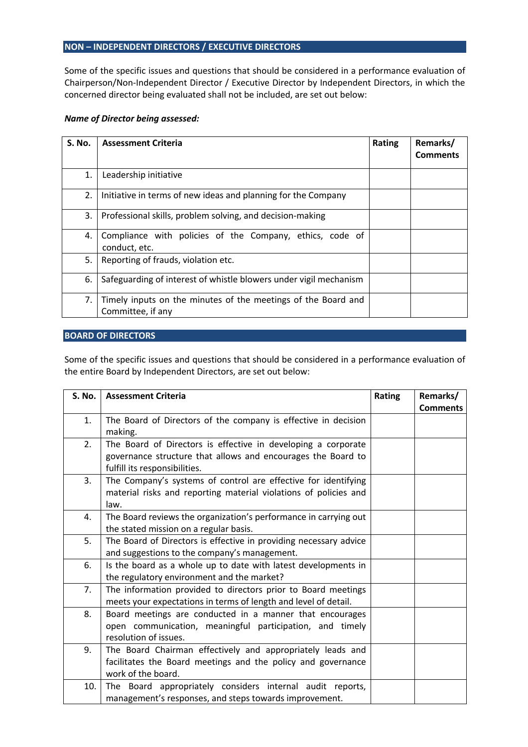### **NON – INDEPENDENT DIRECTORS / EXECUTIVE DIRECTORS**

Some of the specific issues and questions that should be considered in a performance evaluation of Chairperson/Non-Independent Director / Executive Director by Independent Directors, in which the concerned director being evaluated shall not be included, are set out below:

### *Name of Director being assessed:*

| <b>S. No.</b> | <b>Assessment Criteria</b>                                                         | Rating | Remarks/<br><b>Comments</b> |
|---------------|------------------------------------------------------------------------------------|--------|-----------------------------|
| 1.            | Leadership initiative                                                              |        |                             |
| 2.            | Initiative in terms of new ideas and planning for the Company                      |        |                             |
| 3.            | Professional skills, problem solving, and decision-making                          |        |                             |
| 4.            | Compliance with policies of the Company, ethics, code of<br>conduct, etc.          |        |                             |
| 5.            | Reporting of frauds, violation etc.                                                |        |                             |
| 6.            | Safeguarding of interest of whistle blowers under vigil mechanism                  |        |                             |
| 7.            | Timely inputs on the minutes of the meetings of the Board and<br>Committee, if any |        |                             |

# **BOARD OF DIRECTORS**

Some of the specific issues and questions that should be considered in a performance evaluation of the entire Board by Independent Directors, are set out below:

| S. No.         | <b>Assessment Criteria</b>                                        | Rating | Remarks/        |
|----------------|-------------------------------------------------------------------|--------|-----------------|
|                |                                                                   |        | <b>Comments</b> |
| 1.             | The Board of Directors of the company is effective in decision    |        |                 |
|                | making.                                                           |        |                 |
| 2.             | The Board of Directors is effective in developing a corporate     |        |                 |
|                | governance structure that allows and encourages the Board to      |        |                 |
|                | fulfill its responsibilities.                                     |        |                 |
| 3.             | The Company's systems of control are effective for identifying    |        |                 |
|                | material risks and reporting material violations of policies and  |        |                 |
|                | law.                                                              |        |                 |
| 4.             | The Board reviews the organization's performance in carrying out  |        |                 |
|                | the stated mission on a regular basis.                            |        |                 |
| 5.             | The Board of Directors is effective in providing necessary advice |        |                 |
|                | and suggestions to the company's management.                      |        |                 |
| 6.             | Is the board as a whole up to date with latest developments in    |        |                 |
|                | the regulatory environment and the market?                        |        |                 |
| 7 <sub>1</sub> | The information provided to directors prior to Board meetings     |        |                 |
|                | meets your expectations in terms of length and level of detail.   |        |                 |
| 8.             | Board meetings are conducted in a manner that encourages          |        |                 |
|                | open communication, meaningful participation, and timely          |        |                 |
|                | resolution of issues.                                             |        |                 |
| 9.             | The Board Chairman effectively and appropriately leads and        |        |                 |
|                | facilitates the Board meetings and the policy and governance      |        |                 |
|                | work of the board.                                                |        |                 |
| 10.            | The Board appropriately considers internal audit reports,         |        |                 |
|                | management's responses, and steps towards improvement.            |        |                 |